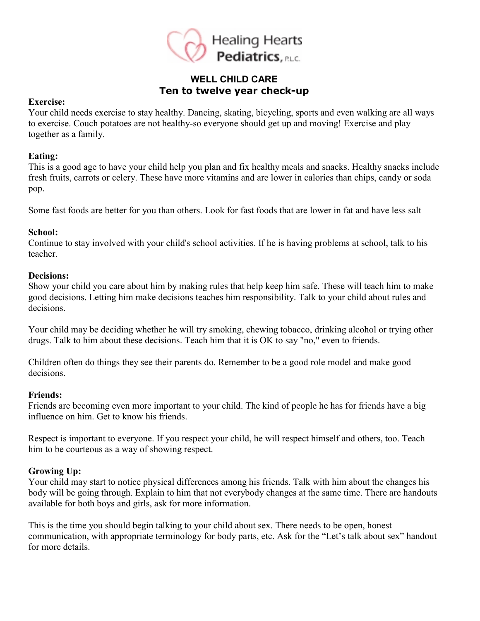

# **WELL CHILD CARE Ten to twelve year check-up**

#### **Exercise:**

Your child needs exercise to stay healthy. Dancing, skating, bicycling, sports and even walking are all ways to exercise. Couch potatoes are not healthy-so everyone should get up and moving! Exercise and play together as a family.

#### **Eating:**

This is a good age to have your child help you plan and fix healthy meals and snacks. Healthy snacks include fresh fruits, carrots or celery. These have more vitamins and are lower in calories than chips, candy or soda pop.

Some fast foods are better for you than others. Look for fast foods that are lower in fat and have less salt

## **School:**

Continue to stay involved with your child's school activities. If he is having problems at school, talk to his teacher.

#### **Decisions:**

Show your child you care about him by making rules that help keep him safe. These will teach him to make good decisions. Letting him make decisions teaches him responsibility. Talk to your child about rules and decisions.

Your child may be deciding whether he will try smoking, chewing tobacco, drinking alcohol or trying other drugs. Talk to him about these decisions. Teach him that it is OK to say "no," even to friends.

Children often do things they see their parents do. Remember to be a good role model and make good decisions.

## **Friends:**

Friends are becoming even more important to your child. The kind of people he has for friends have a big influence on him. Get to know his friends.

Respect is important to everyone. If you respect your child, he will respect himself and others, too. Teach him to be courteous as a way of showing respect.

## **Growing Up:**

Your child may start to notice physical differences among his friends. Talk with him about the changes his body will be going through. Explain to him that not everybody changes at the same time. There are handouts available for both boys and girls, ask for more information.

This is the time you should begin talking to your child about sex. There needs to be open, honest communication, with appropriate terminology for body parts, etc. Ask for the "Let's talk about sex" handout for more details.